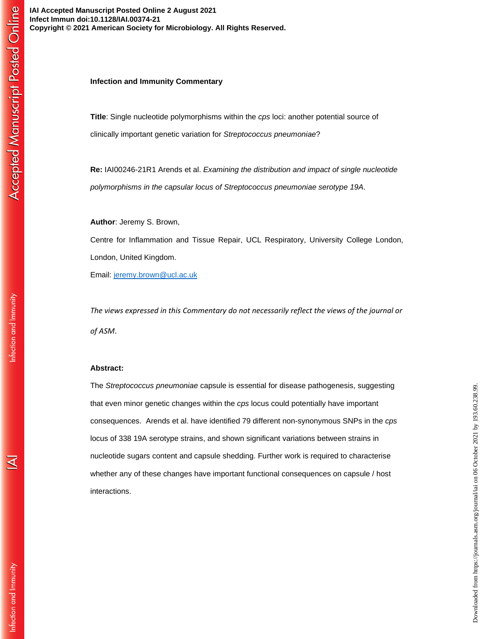**IAI Accepted Manuscript Posted Online 2 August 2021 Infect Immun doi:10.1128/IAI.00374-21 Copyright © 2021 American Society for Microbiology. All Rights Reserved.**

## **Infection and Immunity Commentary**

**Title**: Single nucleotide polymorphisms within the *cps* loci: another potential source of clinically important genetic variation for *Streptococcus pneumoniae*?

**Re:** IAI00246-21R1 Arends et al. *Examining the distribution and impact of single nucleotide polymorphisms in the capsular locus of Streptococcus pneumoniae serotype 19A*.

**Author**: Jeremy S. Brown,

Centre for Inflammation and Tissue Repair, UCL Respiratory, University College London, London, United Kingdom.

Email: jeremy.brown@ucl.ac.uk

*The views expressed in this Commentary do not necessarily reflect the views of the journal or of ASM*.

## **Abstract:**

The *Streptococcus pneumoniae* capsule is essential for disease pathogenesis, suggesting that even minor genetic changes within the *cps* locus could potentially have important consequences. Arends et al. have identified 79 different non-synonymous SNPs in the *cps*  locus of 338 19A serotype strains, and shown significant variations between strains in nucleotide sugars content and capsule shedding. Further work is required to characterise whether any of these changes have important functional consequences on capsule / host interactions.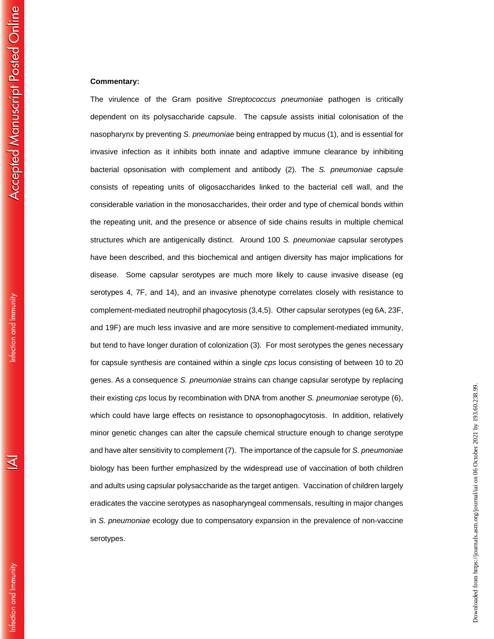## **Commentary:**

The virulence of the Gram positive *Streptococcus pneumoniae* pathogen is critically dependent on its polysaccharide capsule. The capsule assists initial colonisation of the nasopharynx by preventing *S. pneumoniae* being entrapped by mucus (1), and is essential for invasive infection as it inhibits both innate and adaptive immune clearance by inhibiting bacterial opsonisation with complement and antibody (2). The *S. pneumoniae* capsule consists of repeating units of oligosaccharides linked to the bacterial cell wall, and the considerable variation in the monosaccharides, their order and type of chemical bonds within the repeating unit, and the presence or absence of side chains results in multiple chemical structures which are antigenically distinct. Around 100 *S. pneumoniae* capsular serotypes have been described, and this biochemical and antigen diversity has major implications for disease. Some capsular serotypes are much more likely to cause invasive disease (eg serotypes 4, 7F, and 14), and an invasive phenotype correlates closely with resistance to complement-mediated neutrophil phagocytosis (3,4,5). Other capsular serotypes (eg 6A, 23F, and 19F) are much less invasive and are more sensitive to complement-mediated immunity, but tend to have longer duration of colonization (3). For most serotypes the genes necessary for capsule synthesis are contained within a single *cps* locus consisting of between 10 to 20 genes. As a consequence *S. pneumoniae* strains can change capsular serotype by replacing their existing *cps* locus by recombination with DNA from another *S. pneumoniae* serotype (6), which could have large effects on resistance to opsonophagocytosis. In addition, relatively minor genetic changes can alter the capsule chemical structure enough to change serotype and have alter sensitivity to complement (7). The importance of the capsule for *S. pneumoniae* biology has been further emphasized by the widespread use of vaccination of both children and adults using capsular polysaccharide as the target antigen. Vaccination of children largely eradicates the vaccine serotypes as nasopharyngeal commensals, resulting in major changes in *S. pneumoniae* ecology due to compensatory expansion in the prevalence of non-vaccine serotypes.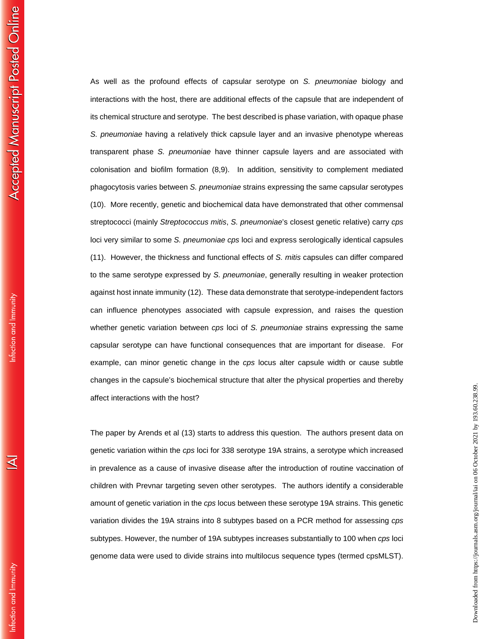As well as the profound effects of capsular serotype on *S. pneumoniae* biology and interactions with the host, there are additional effects of the capsule that are independent of its chemical structure and serotype. The best described is phase variation, with opaque phase *S. pneumoniae* having a relatively thick capsule layer and an invasive phenotype whereas transparent phase *S. pneumoniae* have thinner capsule layers and are associated with colonisation and biofilm formation (8,9). In addition, sensitivity to complement mediated phagocytosis varies between *S. pneumoniae* strains expressing the same capsular serotypes (10). More recently, genetic and biochemical data have demonstrated that other commensal streptococci (mainly *Streptococcus mitis*, *S. pneumoniae*'s closest genetic relative) carry *cps* loci very similar to some *S. pneumoniae cps* loci and express serologically identical capsules (11). However, the thickness and functional effects of *S. mitis* capsules can differ compared to the same serotype expressed by *S. pneumoniae*, generally resulting in weaker protection against host innate immunity (12). These data demonstrate that serotype-independent factors can influence phenotypes associated with capsule expression, and raises the question whether genetic variation between *cps* loci of *S. pneumoniae* strains expressing the same capsular serotype can have functional consequences that are important for disease. For example, can minor genetic change in the *cps* locus alter capsule width or cause subtle changes in the capsule's biochemical structure that alter the physical properties and thereby affect interactions with the host?

The paper by Arends et al (13) starts to address this question. The authors present data on genetic variation within the *cps* loci for 338 serotype 19A strains, a serotype which increased in prevalence as a cause of invasive disease after the introduction of routine vaccination of children with Prevnar targeting seven other serotypes. The authors identify a considerable amount of genetic variation in the *cps* locus between these serotype 19A strains. This genetic variation divides the 19A strains into 8 subtypes based on a PCR method for assessing *cps* subtypes. However, the number of 19A subtypes increases substantially to 100 when *cps* loci genome data were used to divide strains into multilocus sequence types (termed cpsMLST).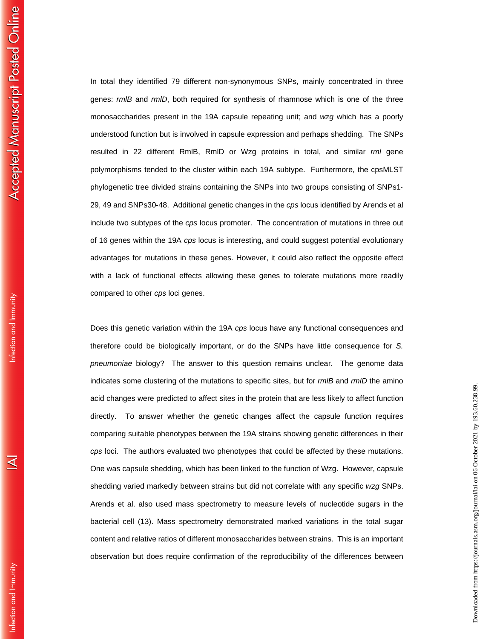In total they identified 79 different non-synonymous SNPs, mainly concentrated in three genes: *rmlB* and *rmlD*, both required for synthesis of rhamnose which is one of the three monosaccharides present in the 19A capsule repeating unit; and *wzg* which has a poorly understood function but is involved in capsule expression and perhaps shedding. The SNPs resulted in 22 different RmlB, RmlD or Wzg proteins in total, and similar *rml* gene polymorphisms tended to the cluster within each 19A subtype. Furthermore, the cpsMLST phylogenetic tree divided strains containing the SNPs into two groups consisting of SNPs1‐ 29, 49 and SNPs30‐48. Additional genetic changes in the *cps* locus identified by Arends et al include two subtypes of the *cps* locus promoter. The concentration of mutations in three out of 16 genes within the 19A *cps* locus is interesting, and could suggest potential evolutionary advantages for mutations in these genes. However, it could also reflect the opposite effect with a lack of functional effects allowing these genes to tolerate mutations more readily compared to other *cps* loci genes.

Does this genetic variation within the 19A *cps* locus have any functional consequences and therefore could be biologically important, or do the SNPs have little consequence for *S. pneumoniae* biology? The answer to this question remains unclear. The genome data indicates some clustering of the mutations to specific sites, but for *rmlB* and *rmlD* the amino acid changes were predicted to affect sites in the protein that are less likely to affect function directly. To answer whether the genetic changes affect the capsule function requires comparing suitable phenotypes between the 19A strains showing genetic differences in their *cps* loci. The authors evaluated two phenotypes that could be affected by these mutations. One was capsule shedding, which has been linked to the function of Wzg. However, capsule shedding varied markedly between strains but did not correlate with any specific *wzg* SNPs. Arends et al. also used mass spectrometry to measure levels of nucleotide sugars in the bacterial cell (13). Mass spectrometry demonstrated marked variations in the total sugar content and relative ratios of different monosaccharides between strains. This is an important observation but does require confirmation of the reproducibility of the differences between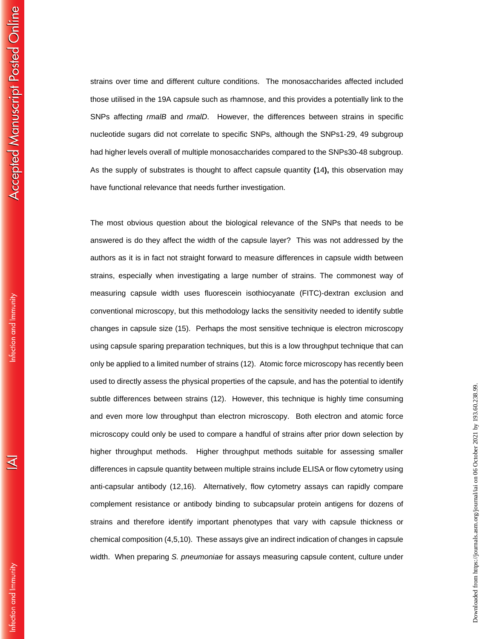Infection and Immunity

ব

strains over time and different culture conditions. The monosaccharides affected included those utilised in the 19A capsule such as rhamnose, and this provides a potentially link to the SNPs affecting *rmalB* and *rmalD*. However, the differences between strains in specific nucleotide sugars did not correlate to specific SNPs, although the SNPs1‐29, 49 subgroup had higher levels overall of multiple monosaccharides compared to the SNPs30‐48 subgroup. As the supply of substrates is thought to affect capsule quantity **(**14**),** this observation may have functional relevance that needs further investigation.

The most obvious question about the biological relevance of the SNPs that needs to be answered is do they affect the width of the capsule layer? This was not addressed by the authors as it is in fact not straight forward to measure differences in capsule width between strains, especially when investigating a large number of strains. The commonest way of measuring capsule width uses fluorescein isothiocyanate (FITC)‐dextran exclusion and conventional microscopy, but this methodology lacks the sensitivity needed to identify subtle changes in capsule size (15). Perhaps the most sensitive technique is electron microscopy using capsule sparing preparation techniques, but this is a low throughput technique that can only be applied to a limited number of strains (12). Atomic force microscopy has recently been used to directly assess the physical properties of the capsule, and has the potential to identify subtle differences between strains (12). However, this technique is highly time consuming and even more low throughput than electron microscopy. Both electron and atomic force microscopy could only be used to compare a handful of strains after prior down selection by higher throughput methods. Higher throughput methods suitable for assessing smaller differences in capsule quantity between multiple strains include ELISA or flow cytometry using anti-capsular antibody (12,16). Alternatively, flow cytometry assays can rapidly compare complement resistance or antibody binding to subcapsular protein antigens for dozens of strains and therefore identify important phenotypes that vary with capsule thickness or chemical composition (4,5,10). These assays give an indirect indication of changes in capsule width. When preparing *S. pneumoniae* for assays measuring capsule content, culture under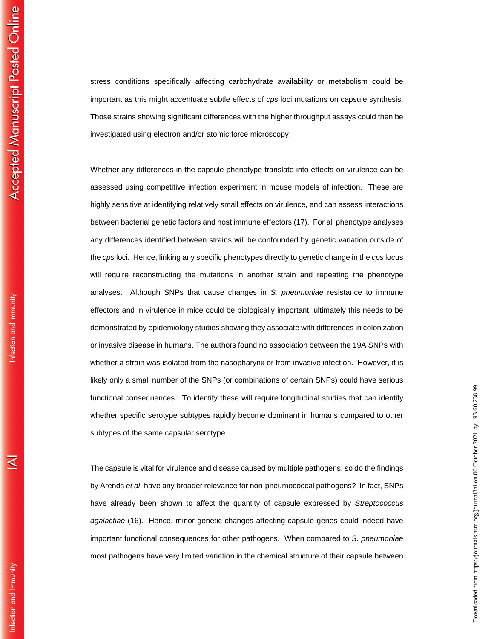Infection and Immunity

ব

stress conditions specifically affecting carbohydrate availability or metabolism could be important as this might accentuate subtle effects of *cps* loci mutations on capsule synthesis. Those strains showing significant differences with the higher throughput assays could then be investigated using electron and/or atomic force microscopy.

Whether any differences in the capsule phenotype translate into effects on virulence can be assessed using competitive infection experiment in mouse models of infection. These are highly sensitive at identifying relatively small effects on virulence, and can assess interactions between bacterial genetic factors and host immune effectors (17). For all phenotype analyses any differences identified between strains will be confounded by genetic variation outside of the *cps* loci. Hence, linking any specific phenotypes directly to genetic change in the *cps* locus will require reconstructing the mutations in another strain and repeating the phenotype analyses. Although SNPs that cause changes in *S. pneumoniae* resistance to immune effectors and in virulence in mice could be biologically important, ultimately this needs to be demonstrated by epidemiology studies showing they associate with differences in colonization or invasive disease in humans. The authors found no association between the 19A SNPs with whether a strain was isolated from the nasopharynx or from invasive infection. However, it is likely only a small number of the SNPs (or combinations of certain SNPs) could have serious functional consequences. To identify these will require longitudinal studies that can identify whether specific serotype subtypes rapidly become dominant in humans compared to other subtypes of the same capsular serotype.

The capsule is vital for virulence and disease caused by multiple pathogens, so do the findings by Arends *et al*. have any broader relevance for non-pneumococcal pathogens? In fact, SNPs have already been shown to affect the quantity of capsule expressed by *Streptococcus agalactiae* (16). Hence, minor genetic changes affecting capsule genes could indeed have important functional consequences for other pathogens. When compared to *S. pneumoniae* most pathogens have very limited variation in the chemical structure of their capsule between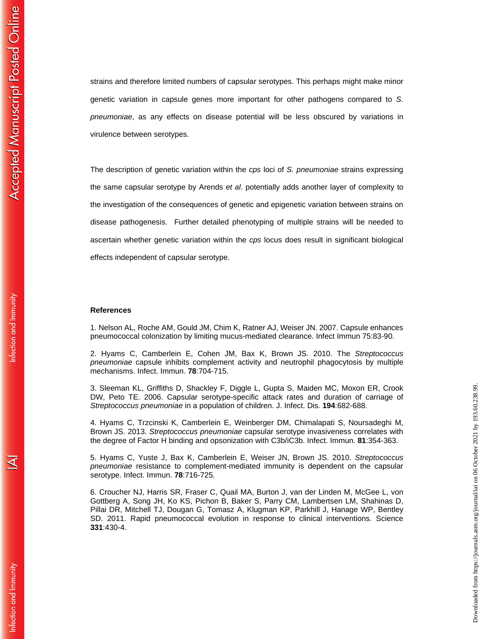nfection and Immunity

⋜

strains and therefore limited numbers of capsular serotypes. This perhaps might make minor genetic variation in capsule genes more important for other pathogens compared to *S. pneumoniae*, as any effects on disease potential will be less obscured by variations in virulence between serotypes.

The description of genetic variation within the *cps* loci of *S. pneumoniae* strains expressing the same capsular serotype by Arends *et al*. potentially adds another layer of complexity to the investigation of the consequences of genetic and epigenetic variation between strains on disease pathogenesis. Further detailed phenotyping of multiple strains will be needed to ascertain whether genetic variation within the *cps* locus does result in significant biological effects independent of capsular serotype.

## **References**

1. Nelson AL, Roche AM, Gould JM, Chim K, Ratner AJ, Weiser JN. 2007. Capsule enhances pneumococcal colonization by limiting mucus-mediated clearance. Infect Immun 75:83-90.

2. Hyams C, Camberlein E, Cohen JM, Bax K, Brown JS. 2010. The *Streptococcus pneumoniae* capsule inhibits complement activity and neutrophil phagocytosis by multiple mechanisms. Infect. Immun. **78**:704-715.

3. Sleeman KL, Griffiths D, Shackley F, Diggle L, Gupta S, Maiden MC, Moxon ER, Crook DW, Peto TE. 2006. Capsular serotype-specific attack rates and duration of carriage of *Streptococcus pneumoniae* in a population of children. J. Infect. Dis. **194**:682-688.

4. Hyams C, Trzcinski K, Camberlein E, Weinberger DM, Chimalapati S, Noursadeghi M, Brown JS. 2013. *Streptococcus pneumoniae* capsular serotype invasiveness correlates with the degree of Factor H binding and opsonization with C3b/iC3b. Infect. Immun. **81**:354-363.

5. Hyams C, Yuste J, Bax K, Camberlein E, Weiser JN, Brown JS. 2010. *Streptococcus pneumoniae* resistance to complement-mediated immunity is dependent on the capsular serotype. Infect. Immun. **78**:716-725.

6. Croucher NJ, Harris SR, Fraser C, Quail MA, Burton J, van der Linden M, McGee L, von Gottberg A, Song JH, Ko KS, Pichon B, Baker S, Parry CM, Lambertsen LM, Shahinas D, Pillai DR, Mitchell TJ, Dougan G, Tomasz A, Klugman KP, Parkhill J, Hanage WP, Bentley SD. 2011. Rapid pneumococcal evolution in response to clinical interventions. Science **331**:430-4.